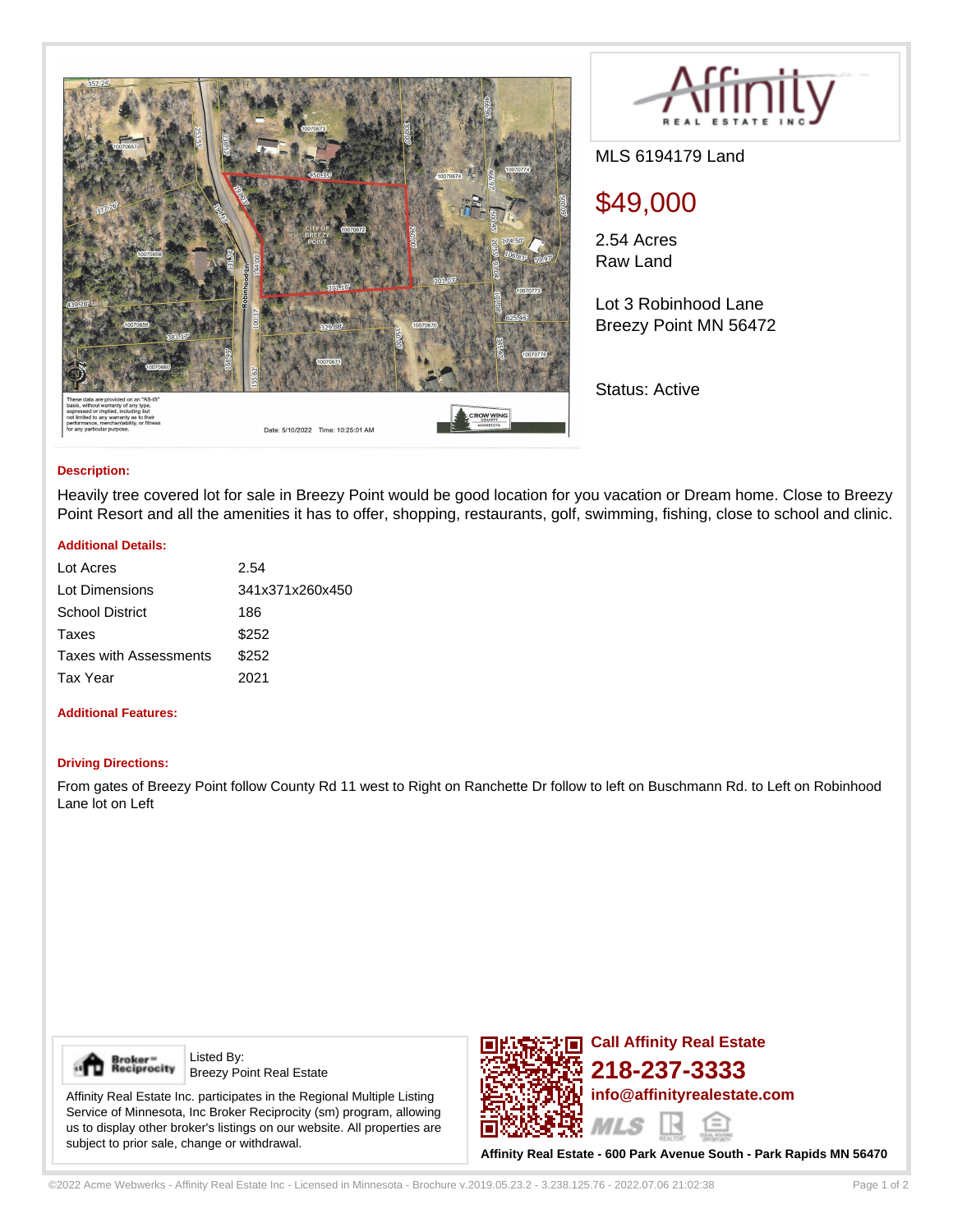



MLS 6194179 Land

# \$49,000

2.54 Acres Raw Land

Lot 3 Robinhood Lane Breezy Point MN 56472

Status: Active

### **Description:**

Heavily tree covered lot for sale in Breezy Point would be good location for you vacation or Dream home. Close to Breezy Point Resort and all the amenities it has to offer, shopping, restaurants, golf, swimming, fishing, close to school and clinic.

### **Additional Details:**

| Lot Acres                     | 2.54            |
|-------------------------------|-----------------|
| Lot Dimensions                | 341x371x260x450 |
| <b>School District</b>        | 186             |
| Taxes                         | \$252           |
| <b>Taxes with Assessments</b> | \$252           |
| Tax Year                      | 2021            |
|                               |                 |

## **Additional Features:**

#### **Driving Directions:**

From gates of Breezy Point follow County Rd 11 west to Right on Ranchette Dr follow to left on Buschmann Rd. to Left on Robinhood Lane lot on Left



Listed By: Breezy Point Real Estate

Affinity Real Estate Inc. participates in the Regional Multiple Listing Service of Minnesota, Inc Broker Reciprocity (sm) program, allowing us to display other broker's listings on our website. All properties are subject to prior sale, change or withdrawal.



**Affinity Real Estate - 600 Park Avenue South - Park Rapids MN 56470**